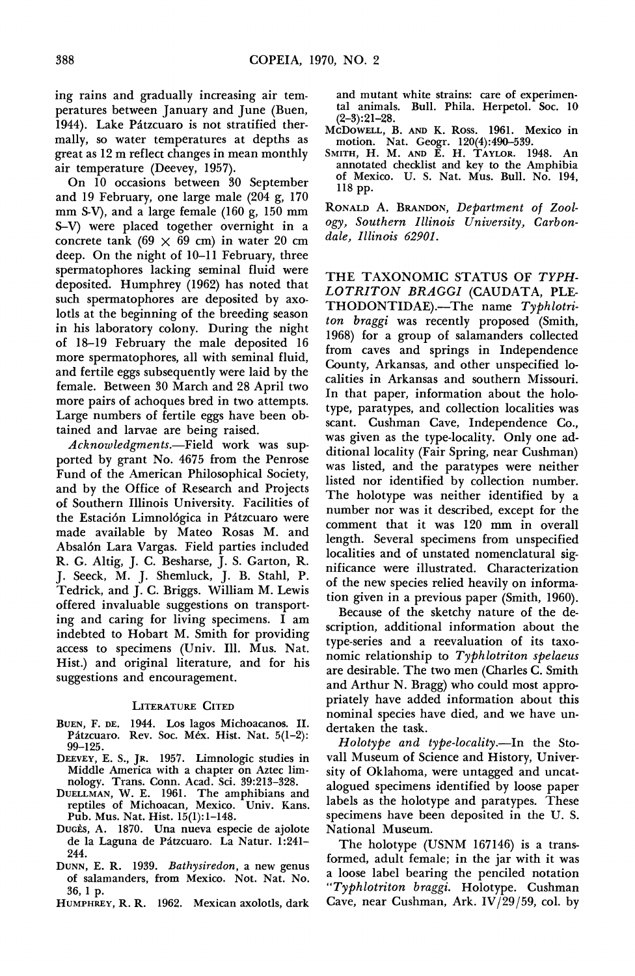ing rains and gradually increasing air tem- ing rains and gradually increasing air tem peratures between January and June (Buen, peratures between January and June (Buen, 1944). Lake Patzcuaro is not stratified ther- $\overline{MCD}$  mally, so water temperatures at depths as mally, so water temperatures at depths as great as 12 m reflect changes in mean monthly great as 12 m reflect changes in mean monthly air temperature (Deevey, 1957). air temperature (Deevey, 1957).

 On 10 occasions between 30 September On 10 occasions between 30 September and 19 February, one large male  $(204 \text{ g}, 170 \text{ p})$ mm S-V), and a large female (160 g, 150 mm S-V) were placed together overnight in a  $\frac{\partial g y}{\partial x^2}$ concrete tank ( $69 \times 69$  cm) in water 20 cm deep. On the night of 10-11 February, three deep. On the night of 10-11 February, three spermatophores lacking seminal fluid were TH deposited. Humphrey (1962) has noted that  $LO$ such spermatophores are deposited by axo- $TH$ lotls at the beginning of the breeding season  $tan$  in his laboratory colony. During the night his laboratory colony. During the night of 18–19 February the male deposited 16 from more spermatophores, all with seminal fluid, Cour and fertile eggs subsequently were laid by the cali female. Between 30 March and 28 April two  $\begin{bmatrix} 1 & 1 \end{bmatrix}$ more pairs of achoques bred in two attempts. Large numbers of fertile eggs have been ob- Large numbers of fertile eggs have been ob tained and larvae are being raised. tained and larvae are being raised.

Acknowledgments.—Field work was sup-<br>ditional ported by grant No. 4675 from the Penrose ported by grant No. 4675 from the Penrose Fund of the American Philosophical Society, Fund of the American Philosophical Society, and by the Office of Research and Projects  $\tau_{\text{he}}$ of Southern Illinois University. Facilities of **the in**im the Estación Limnológica in Pátzcuaro were made available by Mateo Rosas M. and Absalón Lara Vargas. Field parties included R. G. Altig, J. C. Besharse, J. S. Garton, R. J. Seeck, M. J. Shemluck, J. B. Stahl, P. Tedrick, and J. C. Briggs. William M. Lewis offered invaluable suggestions on transport ing and caring for living specimens. I am indebted to Hobart M. Smith for providing access to specimens (Univ. Ill. Mus. Nat. Hist.) and original literature, and for his suggestions and encouragement.

## LITERATURE CITED

- BUEN, F. DE. 1944. Los lagos Michoacanos. II. Pátzcuaro. Rev. Soc. Méx. Hist. Nat. 5(1-2): 99-125.
- DEEVEY, E. S., JR. 1957. Limnologic studies in Middle America with a chapter on Aztec lim nology. Trans. Conn. Acad. Sci. 39:213-328.
- DUELLMAN, W. E. 1961. The amphibians and reptiles of Michoacan, Mexico. Univ. Kans. Pub. Mus. Nat. Hist. 15(1):1-148.
- Ducès, A. 1870. Una nueva especie de ajolote de la Laguna de Pitzcuaro. La Natur. 1:241- 244.
- DUNN, E. R. 1939. Bathysiredon, a new genus of salamanders, from Mexico. Not. Nat. No. 36, 1 p.
- HUMPHREY, R. R. 1962. Mexican axolotls, dark

 and mutant white strains: care of experimen- and mutant white strains: care of experimen tal animals. Bull. Phila. Herpetol. Soc. 10 (2-3):21-28.

- MCDOWELL, B. AND K. Ross. 1961. Mexico in motion. Nat. Geogr. 120(4):490-539.
- SMITH, H. M. AND E. H. TAYLOR. 1948. An annotated checklist and key to the Amphibia of Mexico. U. S. Nat. Mus. Bull. No. 194, 118 pp.

 RONALD A. BRANDON, Department of Zool ogy, Southern Illinois University, Carbon dale, Illinois 62901.

 THE TAXONOMIC STATUS OF TYPH- LOTRITON BRAGGI (CAUDATA, PLE-  $THODONTIDAE)$ .-The name  $Typhlotri$  ton braggi was recently proposed (Smith, 1968) for a group of salamanders collected from caves and springs in Independence County, Arkansas, and other unspecified lo calities in Arkansas and southern Missouri. In that paper, information about the holo type, paratypes, and collection localities was scant. Cushman Cave, Independence Co., was given as the type-locality. Only one ad ditional locality (Fair Spring, near Cushman) was listed, and the paratypes were neither listed nor identified by collection number. The holotype was neither identified by a number nor was it described, except for the comment that it was 120 mm in overall length. Several specimens from unspecified localities and of unstated nomenclatural sig nificance were illustrated. Characterization of the new species relied heavily on informa tion given in a previous paper (Smith, 1960).

 Because of the sketchy nature of the de scription, additional information about the type-series and a reevaluation of its taxo nomic relationship to Typhlotriton spelaeus are desirable. The two men (Charles C. Smith and Arthur N. Bragg) who could most appro priately have added information about this nominal species have died, and we have un dertaken the task.

Holotype and type-locality.—In the Sto vall Museum of Science and History, Univer sity of Oklahoma, were untagged and uncat alogued specimens identified by loose paper labels as the holotype and paratypes. These specimens have been deposited in the U. S. National Museum.

 The holotype (USNM 167146) is a trans formed, adult female; in the jar with it was a loose label bearing the penciled notation "Typhlotriton braggi. Holotype. Cushman Cave, near Cushman, Ark. IV/29/59, col. by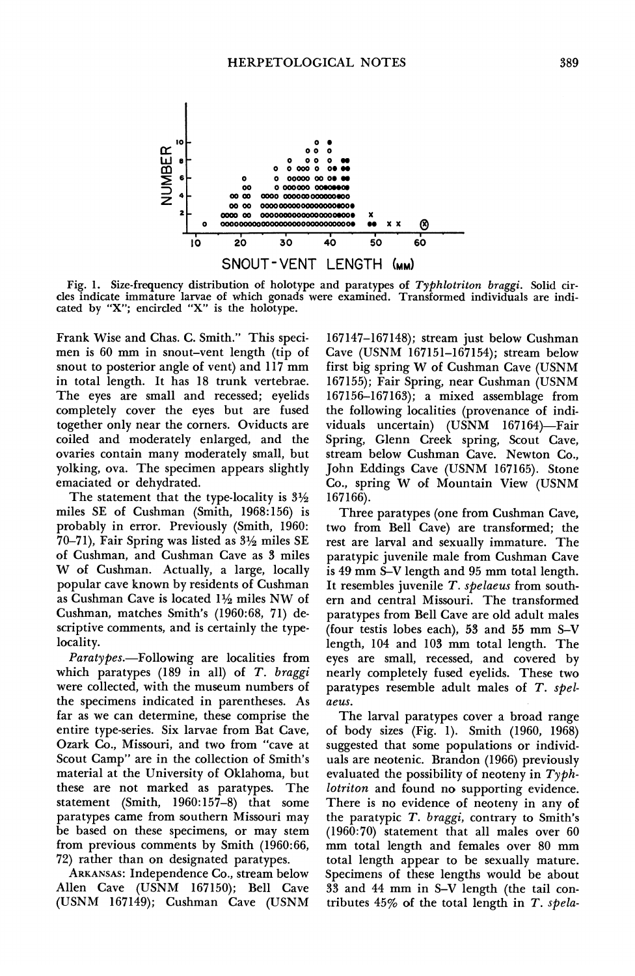

 Fig. 1. Size-frequency distribution of holotype and paratypes of Typhlotriton braggi. Solid cir cles indicate immature larvae of which gonads were examined. Transformed individuals are indi cated by "X"; encircled "X" is the holotype.

 Frank Wise and Chas. C. Smith." This speci men is 60 mm in snout-vent length (tip of snout to posterior angle of vent) and 117 mm in total length. It has 18 trunk vertebrae. The eyes are small and recessed; eyelids completely cover the eyes but are fused together only near the corners. Oviducts are coiled and moderately enlarged, and the ovaries contain many moderately small, but yolking, ova. The specimen appears slightly emaciated or dehydrated.

The statement that the type-locality is  $3\frac{1}{2}$  miles SE of Cushman (Smith, 1968:156) is probably in error. Previously (Smith, 1960: 70-71), Fair Spring was listed as  $3\frac{1}{2}$  miles SE of Cushman, and Cushman Cave as 3 miles W of Cushman. Actually, a large, locally popular cave known by residents of Cushman as Cushman Cave is located  $1\frac{1}{2}$  miles NW of Cushman, matches Smith's (1960:68, 71) de scriptive comments, and is certainly the type locality.

Paratypes.-Following are localities from which paratypes  $(189 \text{ in all})$  of T. braggi were collected, with the museum numbers of the specimens indicated in parentheses. As far as we can determine, these comprise the entire type-series. Six larvae from Bat Cave, Ozark Co., Missouri, and two from "cave at Scout Camp" are in the collection of Smith's material at the University of Oklahoma, but these are not marked as paratypes. The statement (Smith, 1960:157-8) that some paratypes came from southern Missouri may be based on these specimens, or may stem from previous comments by Smith (1960:66, 72) rather than on designated paratypes.

 ARKANSAS: Independence Co., stream below Allen Cave (USNM 167150); Bell Cave (USNM 167149); Cushman Cave (USNM

 167147-167148); stream just below Cushman Cave (USNM 167151-167154); stream below first big spring W of Cushman Cave (USNM 167155); Fair Spring, near Cushman (USNM 167156-167163); a mixed assemblage from the following localities (provenance of indi viduals uncertain) (USNM 167164)—Fair Spring, Glenn Creek spring, Scout Cave, stream below Cushman Cave. Newton Co., John Eddings Cave (USNM 167165). Stone Co., spring W of Mountain View (USNM 167166).

 Three paratypes (one from Cushman Cave, two from Bell Cave) are transformed; the rest are larval and sexually immature. The paratypic juvenile male from Cushman Cave is 49 mm S-V length and 95 mm total length. It resembles juvenile T. spelaeus from south ern and central Missouri. The transformed paratypes from Bell Cave are old adult males (four testis lobes each), 53 and 55 mm S-V length, 104 and 103 mm total length. The eyes are small, recessed, and covered by nearly completely fused eyelids. These two paratypes resemble adult males of T. spelaeus.

 The larval paratypes cover a broad range of body sizes (Fig. 1). Smith (1960, 1968) suggested that some populations or individ uals are neotenic. Brandon (1966) previously evaluated the possibility of neoteny in  $T y ph$  lotriton and found no supporting evidence. There is no evidence of neoteny in any of the paratypic  $T.$  braggi, contrary to Smith's (1960:70) statement that all males over 60 mm total length and females over 80 mm total length appear to be sexually mature. Specimens of these lengths would be about 33 and 44 mm in S-V length (the tail con tributes  $45\%$  of the total length in T. spela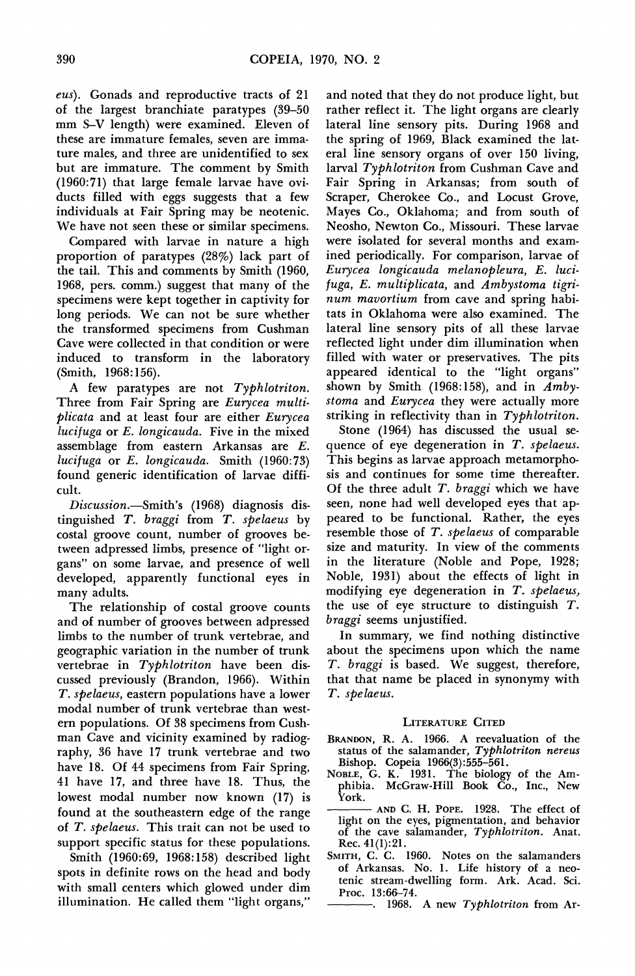eus). Gonads and reproductive tracts of 21 of the largest branchiate paratypes (39-50 mm S-V length) were examined. Eleven of these are immature females, seven are imma ture males, and three are unidentified to sex but are immature. The comment by Smith (1960:71) that large female larvae have ovi ducts filled with eggs suggests that a few individuals at Fair Spring may be neotenic. We have not seen these or similar specimens.

 Compared with larvae in nature a high proportion of paratypes (28%) lack part of the tail. This and comments by Smith (1960, 1968, pers. comm.) suggest that many of the specimens were kept together in captivity for long periods. We can not be sure whether the transformed specimens from Cushman Cave were collected in that condition or were induced to transform in the laboratory (Smith, 1968:156).

A few paratypes are not Typhlotriton. Three from Fair Spring are Eurycea multi plicata and at least four are either Eurycea lucifuga or E. longicauda. Five in the mixed assemblage from eastern Arkansas are E. lucifuga or E. longicauda. Smith (1960:73) found generic identification of larvae diffi cult.

Discussion.-Smith's (1968) diagnosis dis tinguished T. braggi from T. spelaeus by costal groove count, number of grooves be tween adpressed limbs, presence of "light or gans" on some larvae, and presence of well developed, apparently functional eyes in many adults.

 The relationship of costal groove counts and of number of grooves between adpressed limbs to the number of trunk vertebrae, and geographic variation in the number of trunk vertebrae in Typhlotriton have been dis cussed previously (Brandon, 1966). Within T. spelaeus, eastern populations have a lower modal number of trunk vertebrae than west ern populations. Of 38 specimens from Cush man Cave and vicinity examined by radiog raphy, 36 have 17 trunk vertebrae and two have 18. Of 44 specimens from Fair Spring, 41 have 17, and three have 18. Thus, the lowest modal number now known (17) is found at the southeastern edge of the range of T. spelaeus. This trait can not be used to support specific status for these populations.

 Smith (1960:69, 1968:158) described light spots in definite rows on the head and body with small centers which glowed under dim illumination. He called them "light organs,"

 and noted that they do not produce light, but rather reflect it. The light organs are clearly lateral line sensory pits. During 1968 and the spring of 1969, Black examined the lat eral line sensory organs of over 150 living, larval Typhlotriton from Cushman Cave and Fair Spring in Arkansas; from south of Scraper, Cherokee Co., and Locust Grove, Mayes Co., Oklahoma; and from south of Neosho, Newton Co., Missouri. These larvae were isolated for several months and exam ined periodically. For comparison, larvae of Eurycea longicauda melanopleura, E. luci fuga, E. multiplicata, and Ambystoma tigri num mavortium from cave and spring habi tats in Oklahoma were also examined. The lateral line sensory pits of all these larvae reflected light under dim illumination when filled with water or preservatives. The pits appeared identical to the "light organs" shown by Smith (1968:158), and in  $Amby$ stoma and Eurycea they were actually more striking in reflectivity than in Typhlotriton.

 Stone (1964) has discussed the usual se quence of eye degeneration in T. spelaeus. This begins as larvae approach metamorpho sis and continues for some time thereafter. Of the three adult  $T.$  braggi which we have seen, none had well developed eyes that ap peared to be functional. Rather, the eyes resemble those of T. spelaeus of comparable size and maturity. In view of the comments in the literature (Noble and Pope, 1928; Noble, 1931) about the effects of light in modifying eye degeneration in T. spelaeus, the use of eye structure to distinguish T. braggi seems unjustified.

 In summary, we find nothing distinctive about the specimens upon which the name T. braggi is based. We suggest, therefore, that that name be placed in synonymy with T. spelaeus.

## LITERATURE CITED

- BRANDON, R. A. 1966. A reevaluation of the status of the salamander, Typhlotriton nereus Bishop. Copeia 1966(3):555-561.
- NOBLE, G. K. 1931. The biology of the Am phibia. McGraw-Hill Book Čo., Inc., New York.
- AND C. H. POPE. 1928. The effect of light on the eyes, pigmentation, and behavior of the cave salamander, Typhlotriton. Anat. Rec. 41(1):21.
- SMITH, C. C. 1960. Notes on the salamanders of Arkansas. No. 1. Life history of a neo tenic stream-dwelling form. Ark. Acad. Sci. Proc. 13:66-74.

-. 1968. A new Typhlotriton from Ar-